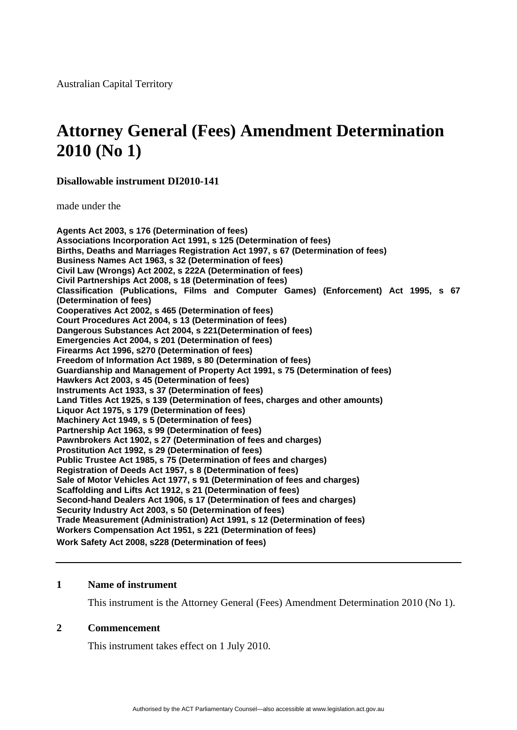# **Attorney General (Fees) Amendment Determination 2010 (No 1)**

**Disallowable instrument DI2010-141** 

made under the

**Agents Act 2003, s 176 (Determination of fees) Associations Incorporation Act 1991, s 125 (Determination of fees) Births, Deaths and Marriages Registration Act 1997, s 67 (Determination of fees) Business Names Act 1963, s 32 (Determination of fees) Civil Law (Wrongs) Act 2002, s 222A (Determination of fees) Civil Partnerships Act 2008, s 18 (Determination of fees) Classification (Publications, Films and Computer Games) (Enforcement) Act 1995, s 67 (Determination of fees) Cooperatives Act 2002, s 465 (Determination of fees) Court Procedures Act 2004, s 13 (Determination of fees) Dangerous Substances Act 2004, s 221(Determination of fees) Emergencies Act 2004, s 201 (Determination of fees) Firearms Act 1996, s270 (Determination of fees) Freedom of Information Act 1989, s 80 (Determination of fees) Guardianship and Management of Property Act 1991, s 75 (Determination of fees) Hawkers Act 2003, s 45 (Determination of fees) Instruments Act 1933, s 37 (Determination of fees) Land Titles Act 1925, s 139 (Determination of fees, charges and other amounts) Liquor Act 1975, s 179 (Determination of fees) Machinery Act 1949, s 5 (Determination of fees) Partnership Act 1963, s 99 (Determination of fees) Pawnbrokers Act 1902, s 27 (Determination of fees and charges) Prostitution Act 1992, s 29 (Determination of fees) Public Trustee Act 1985, s 75 (Determination of fees and charges) Registration of Deeds Act 1957, s 8 (Determination of fees) Sale of Motor Vehicles Act 1977, s 91 (Determination of fees and charges) Scaffolding and Lifts Act 1912, s 21 (Determination of fees) Second-hand Dealers Act 1906, s 17 (Determination of fees and charges) Security Industry Act 2003, s 50 (Determination of fees) Trade Measurement (Administration) Act 1991, s 12 (Determination of fees) Workers Compensation Act 1951, s 221 (Determination of fees) Work Safety Act 2008, s228 (Determination of fees)** 

#### **1 Name of instrument**

This instrument is the Attorney General (Fees) Amendment Determination 2010 (No 1).

#### **2 Commencement**

This instrument takes effect on 1 July 2010.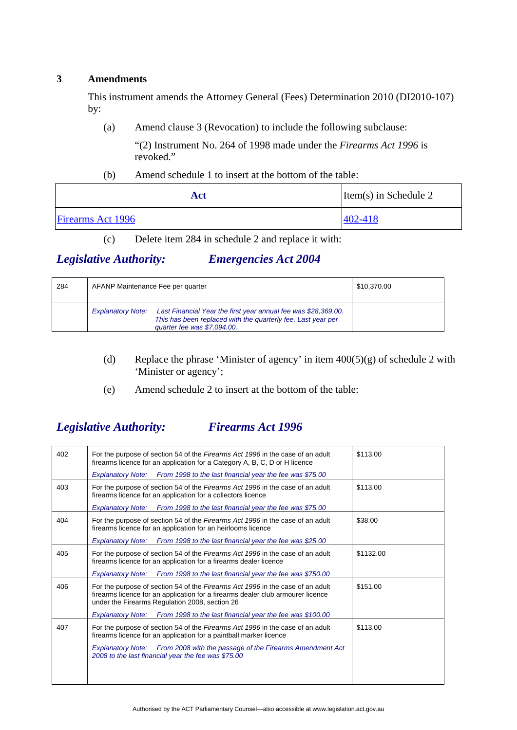#### <span id="page-1-0"></span>**3 Amendments**

This instrument amends the Attorney General (Fees) Determination 2010 (DI2010-107) by:

(a) Amend clause 3 (Revocation) to include the following subclause:

"(2) Instrument No. 264 of 1998 made under the *Firearms Act 1996* is revoked."

#### (b) Amend schedule 1 to insert at the bottom of the table:

| Act                      | $Item(s)$ in Schedule 2 |
|--------------------------|-------------------------|
| <b>Firearms</b> Act 1996 | 402-418                 |

(c) Delete item 284 in schedule 2 and replace it with:

## *Legislative Authority: Emergencies Act 2004*

| 284 | AFANP Maintenance Fee per quarter                                                                                                                                                         | \$10,370.00 |
|-----|-------------------------------------------------------------------------------------------------------------------------------------------------------------------------------------------|-------------|
|     | Last Financial Year the first year annual fee was \$28,369.00.<br><b>Explanatory Note:</b><br>This has been replaced with the quarterly fee. Last year per<br>quarter fee was \$7,094.00. |             |

- (d) Replace the phrase 'Minister of agency' in item  $400(5)(g)$  of schedule 2 with 'Minister or agency';
- (e) Amend schedule 2 to insert at the bottom of the table:

# *Legislative Authority: Firearms Act 1996*

| 402 | For the purpose of section 54 of the Firearms Act 1996 in the case of an adult<br>firearms licence for an application for a Category A, B, C, D or H licence                                                        | \$113.00  |
|-----|---------------------------------------------------------------------------------------------------------------------------------------------------------------------------------------------------------------------|-----------|
|     | <b>Explanatory Note:</b><br>From 1998 to the last financial year the fee was \$75.00                                                                                                                                |           |
| 403 | For the purpose of section 54 of the Firearms Act 1996 in the case of an adult<br>firearms licence for an application for a collectors licence                                                                      | \$113.00  |
|     | Explanatory Note: From 1998 to the last financial year the fee was \$75.00                                                                                                                                          |           |
| 404 | For the purpose of section 54 of the Firearms Act 1996 in the case of an adult<br>firearms licence for an application for an heirlooms licence                                                                      | \$38.00   |
|     | Explanatory Note: From 1998 to the last financial year the fee was \$25.00                                                                                                                                          |           |
| 405 | For the purpose of section 54 of the Firearms Act 1996 in the case of an adult<br>firearms licence for an application for a firearms dealer licence                                                                 | \$1132.00 |
|     | From 1998 to the last financial year the fee was \$750.00<br><b>Explanatory Note:</b>                                                                                                                               |           |
| 406 | For the purpose of section 54 of the Firearms Act 1996 in the case of an adult<br>firearms licence for an application for a firearms dealer club armourer licence<br>under the Firearms Regulation 2008, section 26 | \$151.00  |
|     | From 1998 to the last financial year the fee was \$100.00<br><b>Explanatory Note:</b>                                                                                                                               |           |
| 407 | For the purpose of section 54 of the Firearms Act 1996 in the case of an adult<br>firearms licence for an application for a paintball marker licence                                                                | \$113.00  |
|     | Explanatory Note: From 2008 with the passage of the Firearms Amendment Act<br>2008 to the last financial year the fee was \$75.00                                                                                   |           |
|     |                                                                                                                                                                                                                     |           |
|     |                                                                                                                                                                                                                     |           |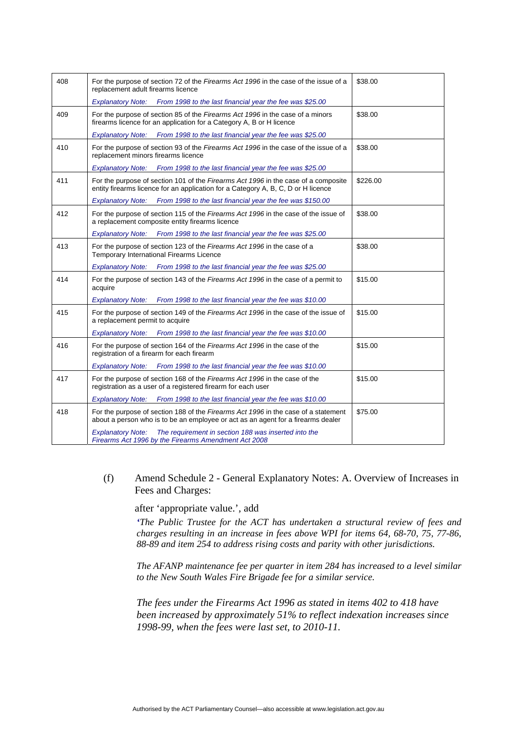| 408 | For the purpose of section 72 of the Firearms Act 1996 in the case of the issue of a<br>replacement adult firearms licence                                              | \$38.00  |
|-----|-------------------------------------------------------------------------------------------------------------------------------------------------------------------------|----------|
|     | From 1998 to the last financial year the fee was \$25.00<br><b>Explanatory Note:</b>                                                                                    |          |
| 409 | For the purpose of section 85 of the Firearms Act 1996 in the case of a minors<br>firearms licence for an application for a Category A, B or H licence                  | \$38.00  |
|     | Explanatory Note: From 1998 to the last financial year the fee was \$25.00                                                                                              |          |
| 410 | For the purpose of section 93 of the Firearms Act 1996 in the case of the issue of a<br>replacement minors firearms licence                                             | \$38.00  |
|     | <b>Explanatory Note:</b><br>From 1998 to the last financial year the fee was \$25.00                                                                                    |          |
| 411 | For the purpose of section 101 of the Firearms Act 1996 in the case of a composite<br>entity firearms licence for an application for a Category A, B, C, D or H licence | \$226.00 |
|     | Explanatory Note: From 1998 to the last financial year the fee was \$150.00                                                                                             |          |
| 412 | For the purpose of section 115 of the Firearms Act 1996 in the case of the issue of<br>a replacement composite entity firearms licence                                  | \$38.00  |
|     | <b>Explanatory Note:</b><br>From 1998 to the last financial year the fee was \$25.00                                                                                    |          |
| 413 | For the purpose of section 123 of the Firearms Act 1996 in the case of a<br>Temporary International Firearms Licence                                                    | \$38.00  |
|     | From 1998 to the last financial year the fee was \$25.00<br><b>Explanatory Note:</b>                                                                                    |          |
| 414 | For the purpose of section 143 of the Firearms Act 1996 in the case of a permit to<br>acquire                                                                           | \$15.00  |
|     | <b>Explanatory Note:</b><br>From 1998 to the last financial year the fee was \$10.00                                                                                    |          |
| 415 | For the purpose of section 149 of the Firearms Act 1996 in the case of the issue of<br>a replacement permit to acquire                                                  | \$15.00  |
|     | Explanatory Note: From 1998 to the last financial year the fee was \$10.00                                                                                              |          |
| 416 | For the purpose of section 164 of the Firearms Act 1996 in the case of the<br>registration of a firearm for each firearm                                                | \$15.00  |
|     | Explanatory Note: From 1998 to the last financial year the fee was \$10.00                                                                                              |          |
| 417 | For the purpose of section 168 of the Firearms Act 1996 in the case of the<br>registration as a user of a registered firearm for each user                              | \$15.00  |
|     | <b>Explanatory Note:</b><br>From 1998 to the last financial year the fee was \$10.00                                                                                    |          |
| 418 | For the purpose of section 188 of the Firearms Act 1996 in the case of a statement<br>about a person who is to be an employee or act as an agent for a firearms dealer  | \$75.00  |
|     | <b>Explanatory Note:</b><br>The requirement in section 188 was inserted into the<br>Firearms Act 1996 by the Firearms Amendment Act 2008                                |          |

(f) Amend Schedule 2 - General Explanatory Notes: A. Overview of Increases in Fees and Charges:

after 'appropriate value.', add

*'The Public Trustee for the ACT has undertaken a structural review of fees and charges resulting in an increase in fees above WPI for items 64, 68-70, 75, 77-86, 88-89 and item 254 to address rising costs and parity with other jurisdictions.* 

*The AFANP maintenance fee per quarter in item 284 has increased to a level similar to the New South Wales Fire Brigade fee for a similar service.* 

*The fees under the Firearms Act 1996 as stated in items 402 to 418 have been increased by approximately 51% to reflect indexation increases since 1998-99, when the fees were last set, to 2010-11.*